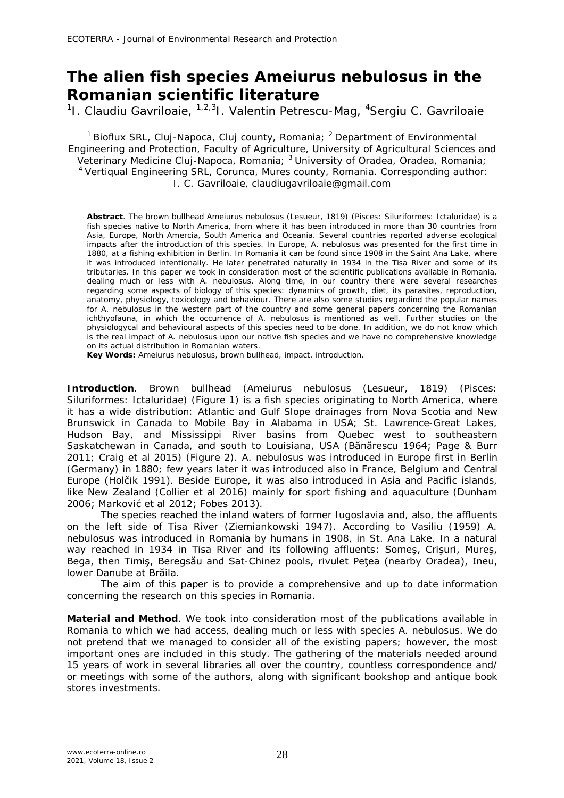## **The alien fish species** *Ameiurus nebulosus* **in the Romanian scientific literature**

<sup>1</sup>I. Claudiu Gavriloaie, <sup>1,2,3</sup>I. Valentin Petrescu-Mag, <sup>4</sup>Sergiu C. Gavriloaie

<sup>1</sup> Bioflux SRL, Cluj-Napoca, Cluj county, Romania; <sup>2</sup> Department of Environmental Engineering and Protection, Faculty of Agriculture, University of Agricultural Sciences and Veterinary Medicine Cluj-Napoca, Romania; <sup>3</sup> University of Oradea, Oradea, Romania; <sup>4</sup>Vertiqual Engineering SRL, Corunca, Mures county, Romania. Corresponding author: I. C. Gavriloaie, claudiugavriloaie@gmail.com

**Abstract**. The brown bullhead *Ameiurus nebulosus* (Lesueur, 1819) (Pisces: Siluriformes: Ictaluridae) is a fish species native to North America, from where it has been introduced in more than 30 countries from Asia, Europe, North Amercia, South America and Oceania. Several countries reported adverse ecological impacts after the introduction of this species. In Europe, *A. nebulosus* was presented for the first time in 1880, at a fishing exhibition in Berlin. In Romania it can be found since 1908 in the Saint Ana Lake, where it was introduced intentionally. He later penetrated naturally in 1934 in the Tisa River and some of its tributaries. In this paper we took in consideration most of the scientific publications available in Romania, dealing much or less with *A. nebulosus*. Along time, in our country there were several researches regarding some aspects of biology of this species: dynamics of growth, diet, its parasites, reproduction, anatomy, physiology, toxicology and behaviour. There are also some studies regardind the popular names for *A. nebulosus* in the western part of the country and some general papers concerning the Romanian ichthyofauna, in which the occurrence of *A. nebulosus* is mentioned as well. Further studies on the physiologycal and behavioural aspects of this species need to be done. In addition, we do not know which is the real impact of *A. nebulosus* upon our native fish species and we have no comprehensive knowledge on its actual distribution in Romanian waters.

**Key Words:** *Ameiurus nebulosus*, brown bullhead, impact, introduction.

**Introduction**. Brown bullhead (*Ameiurus nebulosus* (Lesueur, 1819) (Pisces: Siluriformes: Ictaluridae) (Figure 1) is a fish species originating to North America, where it has a wide distribution: Atlantic and Gulf Slope drainages from Nova Scotia and New Brunswick in Canada to Mobile Bay in Alabama in USA; St. Lawrence-Great Lakes, Hudson Bay, and Mississippi River basins from Quebec west to southeastern Saskatchewan in Canada, and south to Louisiana, USA (Bănărescu 1964; Page & Burr 2011; Craig et al 2015) (Figure 2). *A. nebulosus* was introduced in Europe first in Berlin (Germany) in 1880; few years later it was introduced also in France, Belgium and Central Europe (Holčik 1991). Beside Europe, it was also introduced in Asia and Pacific islands, like New Zealand (Collier et al 2016) mainly for sport fishing and aquaculture (Dunham 2006; Marković et al 2012; Fobes 2013).

The species reached the inland waters of former Iugoslavia and, also, the affluents on the left side of Tisa River (Ziemiankowski 1947). According to Vasiliu (1959) *A. nebulosus* was introduced in Romania by humans in 1908, in St. Ana Lake. In a natural way reached in 1934 in Tisa River and its following affluents: Someş, Crişuri, Mureş, Bega, then Timiş, Beregsău and Sat-Chinez pools, rivulet Peţea (nearby Oradea), Ineu, lower Danube at Brăila.

The aim of this paper is to provide a comprehensive and up to date information concerning the research on this species in Romania.

**Material and Method**. We took into consideration most of the publications available in Romania to which we had access, dealing much or less with species *A. nebulosus*. We do not pretend that we managed to consider all of the existing papers; however, the most important ones are included in this study. The gathering of the materials needed around 15 years of work in several libraries all over the country, countless correspondence and/ or meetings with some of the authors, along with significant bookshop and antique book stores investments.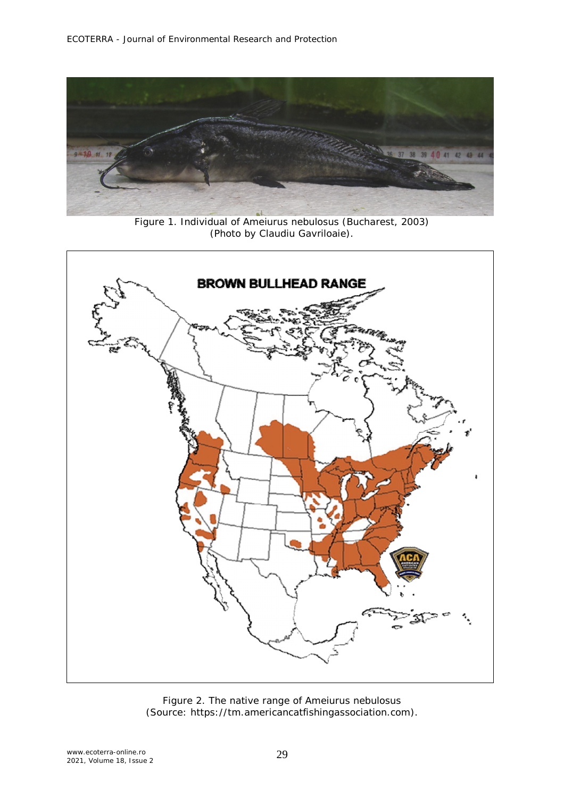

Figure 1. Individual of *Ameiurus nebulosus* (Bucharest, 2003) (Photo by Claudiu Gavriloaie).



Figure 2. The native range of *Ameiurus nebulosus* (Source: https://tm.americancatfishingassociation.com).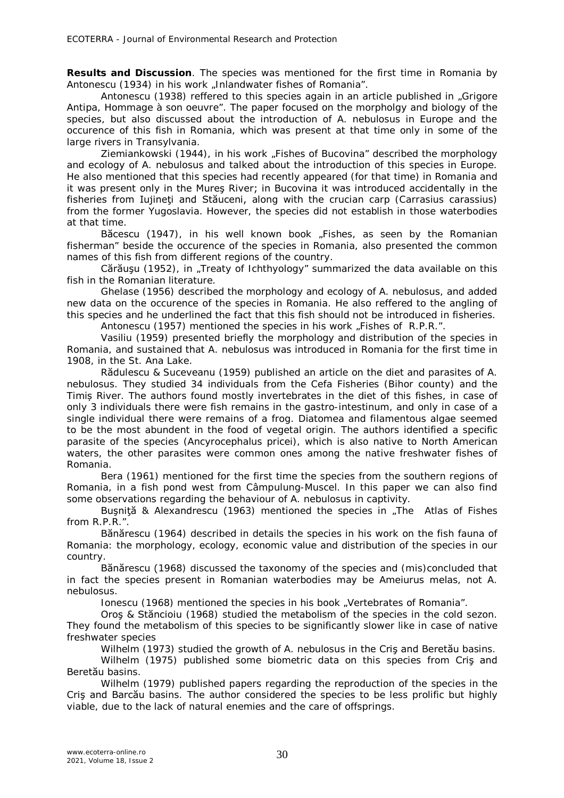**Results and Discussion**. The species was mentioned for the first time in Romania by Antonescu (1934) in his work "Inlandwater fishes of Romania".

Antonescu (1938) reffered to this species again in an article published in "Grigore Antipa, Hommage à son oeuvre". The paper focused on the morpholgy and biology of the species, but also discussed about the introduction of *A. nebulosus* in Europe and the occurence of this fish in Romania, which was present at that time only in some of the large rivers in Transylvania.

Ziemiankowski (1944), in his work "Fishes of Bucovina" described the morphology and ecology of *A. nebulosus* and talked about the introduction of this species in Europe. He also mentioned that this species had recently appeared (for that time) in Romania and it was present only in the Mureş River; in Bucovina it was introduced accidentally in the fisheries from Iujineţi and Stăuceni, along with the crucian carp (*Carrasius carassius*) from the former Yugoslavia. However, the species did not establish in those waterbodies at that time.

Băcescu (1947), in his well known book "Fishes, as seen by the Romanian fisherman" beside the occurence of the species in Romania, also presented the common names of this fish from different regions of the country.

Cărăusu (1952), in "Treaty of Ichthyology" summarized the data available on this fish in the Romanian literature.

Ghelase (1956) described the morphology and ecology of *A. nebulosus*, and added new data on the occurence of the species in Romania. He also reffered to the angling of this species and he underlined the fact that this fish should not be introduced in fisheries.

Antonescu (1957) mentioned the species in his work "Fishes of R.P.R.".

Vasiliu (1959) presented briefly the morphology and distribution of the species in Romania, and sustained that *A. nebulosus* was introduced in Romania for the first time in 1908, in the St. Ana Lake.

Rădulescu & Suceveanu (1959) published an article on the diet and parasites of *A. nebulosus.* They studied 34 individuals from the Cefa Fisheries (Bihor county) and the Timiș River. The authors found mostly invertebrates in the diet of this fishes, in case of only 3 individuals there were fish remains in the gastro-intestinum, and only in case of a single individual there were remains of a frog. Diatomea and filamentous algae seemed to be the most abundent in the food of vegetal origin. The authors identified a specific parasite of the species (*Ancyrocephalus pricei*), which is also native to North American waters, the other parasites were common ones among the native freshwater fishes of Romania.

Bera (1961) mentioned for the first time the species from the southern regions of Romania, in a fish pond west from Câmpulung-Muscel. In this paper we can also find some observations regarding the behaviour of *A. nebulosus* in captivity.

Buşniță & Alexandrescu (1963) mentioned the species in "The Atlas of Fishes from R.P.R.".

Bănărescu (1964) described in details the species in his work on the fish fauna of Romania: the morphology, ecology, economic value and distribution of the species in our country.

Bănărescu (1968) discussed the taxonomy of the species and (mis)concluded that in fact the species present in Romanian waterbodies may be *Ameiurus melas*, not *A. nebulosus*.

Ionescu (1968) mentioned the species in his book "Vertebrates of Romania".

Oroş & Stăncioiu (1968) studied the metabolism of the species in the cold sezon. They found the metabolism of this species to be significantly slower like in case of native freshwater species

Wilhelm (1973) studied the growth of *A. nebulosus* in the Criş and Beretău basins.

Wilhelm (1975) published some biometric data on this species from Cris and Beretău basins.

Wilhelm (1979) published papers regarding the reproduction of the species in the Criş and Barcău basins. The author considered the species to be less prolific but highly viable, due to the lack of natural enemies and the care of offsprings.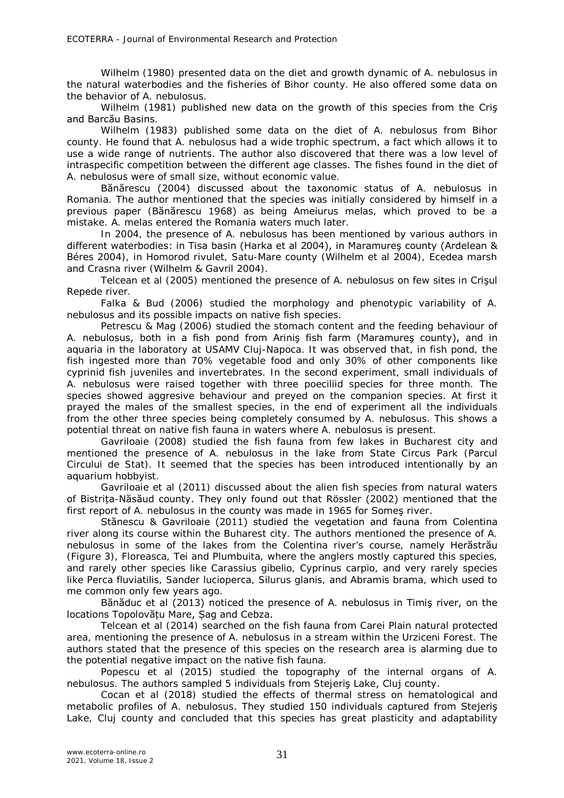Wilhelm (1980) presented data on the diet and growth dynamic of *A. nebulosus* in the natural waterbodies and the fisheries of Bihor county. He also offered some data on the behavior of *A. nebulosus.*

Wilhelm (1981) published new data on the growth of this species from the Criş and Barcău Basins.

Wilhelm (1983) published some data on the diet of *A. nebulosus* from Bihor county. He found that *A. nebulosus* had a wide trophic spectrum, a fact which allows it to use a wide range of nutrients. The author also discovered that there was a low level of intraspecific competition between the different age classes. The fishes found in the diet of *A. nebulosus* were of small size, without economic value.

Bănărescu (2004) discussed about the taxonomic status of *A. nebulosus* in Romania. The author mentioned that the species was initially considered by himself in a previous paper (Bănărescu 1968) as being *Ameiurus melas*, which proved to be a mistake. *A. melas* entered the Romania waters much later.

In 2004, the presence of *A. nebulosus* has been mentioned by various authors in different waterbodies: in Tisa basin (Harka et al 2004), in Maramureş county (Ardelean & Béres 2004), in Homorod rivulet, Satu-Mare county (Wilhelm et al 2004), Ecedea marsh and Crasna river (Wilhelm & Gavril 2004).

Telcean et al (2005) mentioned the presence of *A. nebulosus* on few sites in Crişul Repede river.

Falka & Bud (2006) studied the morphology and phenotypic variability of *A. nebulosus* and its possible impacts on native fish species.

Petrescu & Mag (2006) studied the stomach content and the feeding behaviour of *A. nebulosus*, both in a fish pond from Ariniş fish farm (Maramureş county), and in aquaria in the laboratory at USAMV Cluj-Napoca. It was observed that, in fish pond, the fish ingested more than 70% vegetable food and only 30% of other components like cyprinid fish juveniles and invertebrates. In the second experiment, small individuals of *A. nebulosus* were raised together with three poeciliid species for three month. The species showed aggresive behaviour and preyed on the companion species. At first it prayed the males of the smallest species, in the end of experiment all the individuals from the other three species being completely consumed by *A. nebulosus*. This shows a potential threat on native fish fauna in waters where *A. nebulosus* is present.

Gavriloaie (2008) studied the fish fauna from few lakes in Bucharest city and mentioned the presence of *A. nebulosus* in the lake from State Circus Park (Parcul Circului de Stat). It seemed that the species has been introduced intentionally by an aquarium hobbyist.

Gavriloaie et al (2011) discussed about the alien fish species from natural waters of Bistrița-Năsăud county. They only found out that Rössler (2002) mentioned that the first report of *A. nebulosus* in the county was made in 1965 for Someş river.

Stănescu & Gavriloaie (2011) studied the vegetation and fauna from Colentina river along its course within the Buharest city. The authors mentioned the presence of *A. nebulosus* in some of the lakes from the Colentina river's course, namely Herăstrău (Figure 3), Floreasca, Tei and Plumbuita, where the anglers mostly captured this species, and rarely other species like *Carassius gibelio*, *Cyprinus carpio*, and very rarely species like *Perca fluviatilis*, *Sander lucioperca*, *Silurus glanis*, and *Abramis brama*, which used to me common only few years ago.

Bănăduc et al (2013) noticed the presence of *A. nebulosus* in Timiş river, on the locations Topolovățu Mare, Șag and Cebza.

Telcean et al (2014) searched on the fish fauna from Carei Plain natural protected area, mentioning the presence of *A. nebulosus* in a stream within the Urziceni Forest. The authors stated that the presence of this species on the research area is alarming due to the potential negative impact on the native fish fauna.

Popescu et al (2015) studied the topography of the internal organs of *A. nebulosus*. The authors sampled 5 individuals from Stejeriş Lake, Cluj county.

Cocan et al (2018) studied the effects of thermal stress on hematological and metabolic profiles of *A. nebulosus*. They studied 150 individuals captured from Stejeriş Lake, Cluj county and concluded that this species has great plasticity and adaptability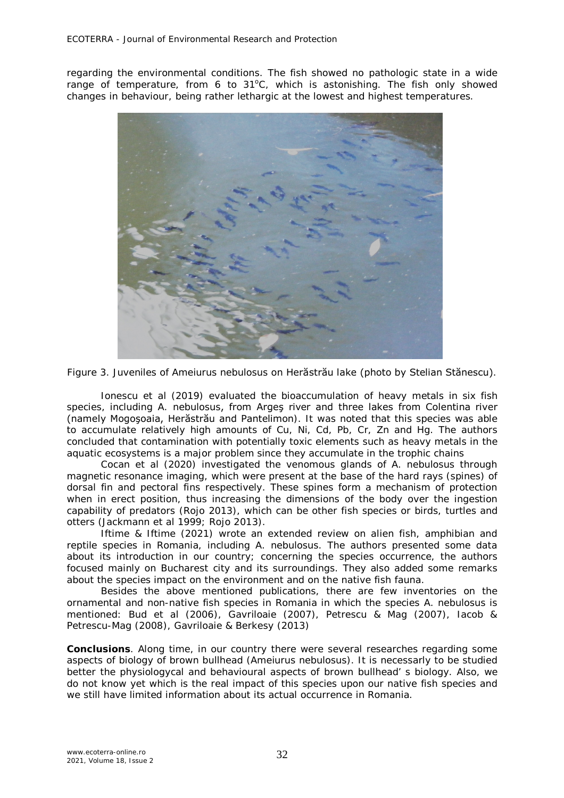regarding the environmental conditions. The fish showed no pathologic state in a wide range of temperature, from 6 to 31°C, which is astonishing. The fish only showed changes in behaviour, being rather lethargic at the lowest and highest temperatures.



Figure 3. Juveniles of *Ameiurus nebulosus* on Herăstrău lake (photo by Stelian Stănescu).

Ionescu et al (2019) evaluated the bioaccumulation of heavy metals in six fish species, including *A. nebulosus*, from Argeş river and three lakes from Colentina river (namely Mogoşoaia, Herăstrău and Pantelimon). It was noted that this species was able to accumulate relatively high amounts of Cu, Ni, Cd, Pb, Cr, Zn and Hg. The authors concluded that contamination with potentially toxic elements such as heavy metals in the aquatic ecosystems is a major problem since they accumulate in the trophic chains

Cocan et al (2020) investigated the venomous glands of *A. nebulosus* through magnetic resonance imaging, which were present at the base of the hard rays (spines) of dorsal fin and pectoral fins respectively. These spines form a mechanism of protection when in erect position, thus increasing the dimensions of the body over the ingestion capability of predators (Rojo 2013), which can be other fish species or birds, turtles and otters (Jackmann et al 1999; Rojo 2013).

Iftime & Iftime (2021) wrote an extended review on alien fish, amphibian and reptile species in Romania, including *A. nebulosus*. The authors presented some data about its introduction in our country; concerning the species occurrence, the authors focused mainly on Bucharest city and its surroundings. They also added some remarks about the species impact on the environment and on the native fish fauna.

Besides the above mentioned publications, there are few inventories on the ornamental and non-native fish species in Romania in which the species *A. nebulosus* is mentioned: Bud et al (2006), Gavriloaie (2007), Petrescu & Mag (2007), Iacob & Petrescu-Mag (2008), Gavriloaie & Berkesy (2013)

**Conclusions**. Along time, in our country there were several researches regarding some aspects of biology of brown bullhead (*Ameiurus nebulosus*). It is necessarly to be studied better the physiologycal and behavioural aspects of brown bullhead' s biology. Also, we do not know yet which is the real impact of this species upon our native fish species and we still have limited information about its actual occurrence in Romania.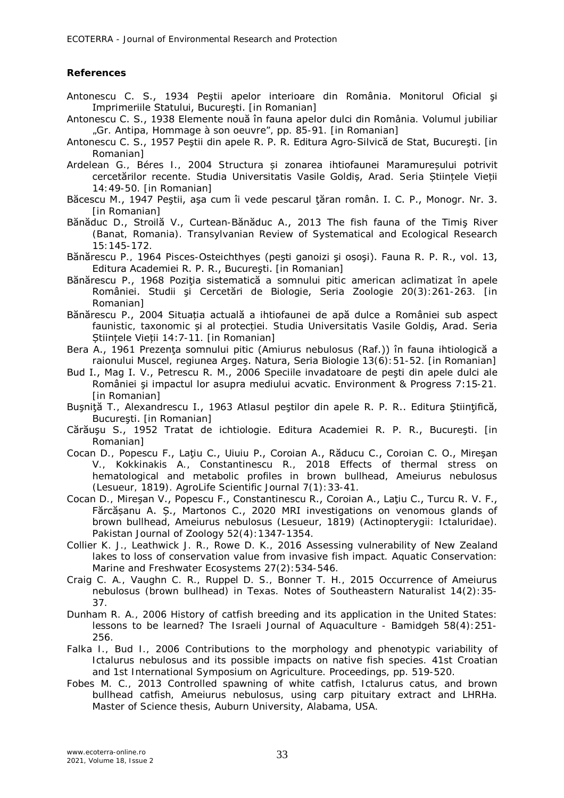## **References**

- Antonescu C. S., 1934 Peştii apelor interioare din România. Monitorul Oficial şi Imprimeriile Statului, Bucureşti. [in Romanian]
- Antonescu C. S., 1938 Elemente nouă în fauna apelor dulci din România. Volumul jubiliar "Gr. Antipa, Hommage à son oeuvre", pp. 85-91. [in Romanian]
- Antonescu C. S., 1957 Peştii din apele R. P. R. Editura Agro-Silvică de Stat, Bucureşti. [in Romanian]
- Ardelean G., Béres I., 2004 Structura și zonarea ihtiofaunei Maramureșului potrivit cercetărilor recente. Studia Universitatis Vasile Goldiș, Arad. Seria Științele Vieții 14:49-50. [in Romanian]
- Băcescu M., 1947 Peştii, aşa cum îi vede pescarul ţăran român. I. C. P., Monogr. Nr. 3. [in Romanian]
- Bănăduc D., Stroilă V., Curtean-Bănăduc A., 2013 The fish fauna of the Timiş River (Banat, Romania). Transylvanian Review of Systematical and Ecological Research 15:145-172.
- Bănărescu P., 1964 Pisces-Osteichthyes (peşti ganoizi şi osoşi). Fauna R. P. R., vol. 13, Editura Academiei R. P. R., Bucureşti. [in Romanian]
- Bănărescu P., 1968 Poziția sistematică a somnului pitic american aclimatizat în apele României. Studii şi Cercetări de Biologie, Seria Zoologie 20(3):261-263. [in Romanian]
- Bănărescu P., 2004 Situația actuală a ihtiofaunei de apă dulce a României sub aspect faunistic, taxonomic și al protecției. Studia Universitatis Vasile Goldiș, Arad. Seria Stiințele Vieții 14:7-11. [in Romanian]

Bera A., 1961 Prezenta somnului pitic (*Amiurus nebulosus* (Raf.)) în fauna ihtiologică a raionului Muscel, regiunea Argeş. Natura, Seria Biologie 13(6):51-52. [in Romanian]

- Bud I., Mag I. V., Petrescu R. M., 2006 Speciile invadatoare de peşti din apele dulci ale României şi impactul lor asupra mediului acvatic. Environment & Progress 7:15-21. [in Romanian]
- Buşniță T., Alexandrescu I., 1963 Atlasul peştilor din apele R. P. R.. Editura Științifică, Bucureşti. [in Romanian]
- Cărăuşu S., 1952 Tratat de ichtiologie. Editura Academiei R. P. R., Bucureşti. [in Romanian]
- Cocan D., Popescu F., Lațiu C., Uiuiu P., Coroian A., Răducu C., Coroian C. O., Mireșan V., Kokkinakis A., Constantinescu R., 2018 Effects of thermal stress on hematological and metabolic profiles in brown bullhead, *Ameiurus nebulosus* (Lesueur, 1819). AgroLife Scientific Journal 7(1):33-41.
- Cocan D., Mireşan V., Popescu F., Constantinescu R., Coroian A., Laţiu C., Turcu R. V. F., Fărcășanu A. Ș., Martonos C., 2020 MRI investigations on venomous glands of brown bullhead, *Ameiurus nebulosus* (Lesueur, 1819) (Actinopterygii: Ictaluridae). Pakistan Journal of Zoology 52(4): 1347-1354.
- Collier K. J., Leathwick J. R., Rowe D. K., 2016 Assessing vulnerability of New Zealand lakes to loss of conservation value from invasive fish impact. Aquatic Conservation: Marine and Freshwater Ecosystems 27(2):534-546.
- Craig C. A., Vaughn C. R., Ruppel D. S., Bonner T. H., 2015 Occurrence of *Ameiurus nebulosus* (brown bullhead) in Texas. Notes of Southeastern Naturalist 14(2):35- 37.
- Dunham R. A., 2006 History of catfish breeding and its application in the United States: lessons to be learned? The Israeli Journal of Aquaculture - Bamidgeh 58(4):251- 256.
- Falka I., Bud I., 2006 Contributions to the morphology and phenotypic variability of Ictalurus nebulosus and its possible impacts on native fish species. 41st Croatian and 1st International Symposium on Agriculture. Proceedings, pp. 519-520.
- Fobes M. C., 2013 Controlled spawning of white catfish, *Ictalurus catus*, and brown bullhead catfish, *Ameiurus nebulosus*, using carp pituitary extract and LHRHa. Master of Science thesis, Auburn University, Alabama, USA.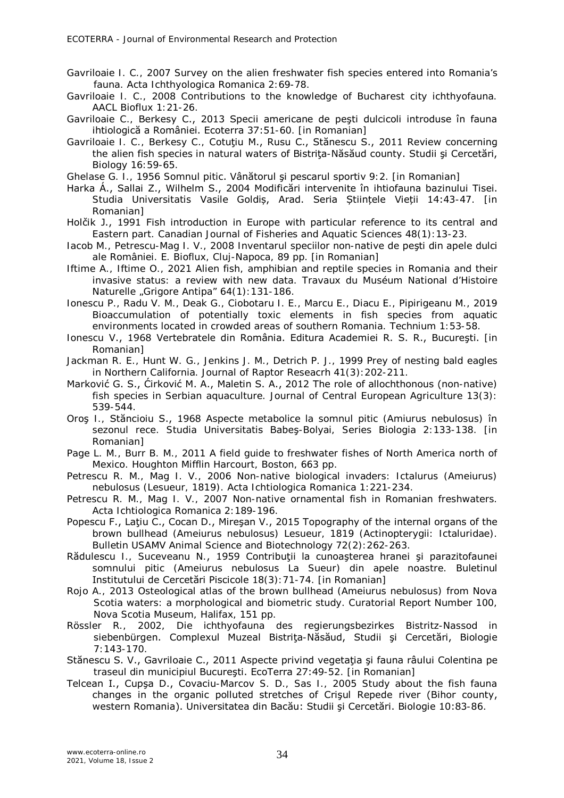- Gavriloaie I. C., 2007 Survey on the alien freshwater fish species entered into Romania's fauna. Acta Ichthyologica Romanica 2:69-78.
- Gavriloaie I. C., 2008 Contributions to the knowledge of Bucharest city ichthyofauna. AACL Bioflux 1:21-26.
- Gavriloaie C., Berkesy C., 2013 Specii americane de peşti dulcicoli introduse în fauna ihtiologică a României. Ecoterra 37:51-60. [in Romanian]
- Gavriloaie I. C., Berkesy C., Cotuțiu M., Rusu C., Stănescu S., 2011 Review concerning the alien fish species in natural waters of Bistrita-Năsăud county. Studii și Cercetări, Biology 16:59-65.

Ghelase G. I., 1956 Somnul pitic. Vânătorul şi pescarul sportiv 9:2. [in Romanian]

- Harka Á., Sallai Z., Wilhelm S., 2004 Modificări intervenite în ihtiofauna bazinului Tisei. Studia Universitatis Vasile Goldiș, Arad. Seria Științele Vieții 14:43-47. [in Romanian]
- Holčik J., 1991 Fish introduction in Europe with particular reference to its central and Eastern part. Canadian Journal of Fisheries and Aquatic Sciences 48(1):13-23.
- Iacob M., Petrescu-Mag I. V., 2008 Inventarul speciilor non-native de peşti din apele dulci ale României. E. Bioflux, Cluj-Napoca, 89 pp. [in Romanian]
- Iftime A., Iftime O., 2021 Alien fish, amphibian and reptile species in Romania and their invasive status: a review with new data. Travaux du Muséum National d'Histoire Naturelle "Grigore Antipa" 64(1):131-186.
- Ionescu P., Radu V. M., Deak G., Ciobotaru I. E., Marcu E., Diacu E., Pipirigeanu M., 2019 Bioaccumulation of potentially toxic elements in fish species from aquatic environments located in crowded areas of southern Romania. Technium 1:53-58.
- Ionescu V., 1968 Vertebratele din România. Editura Academiei R. S. R., Bucureşti. [in Romanian]
- Jackman R. E., Hunt W. G., Jenkins J. M., Detrich P. J., 1999 Prey of nesting bald eagles in Northern California. Journal of Raptor Reseacrh 41(3):202-211.
- Marković G. S., Ćirković M. A., Maletin S. A., 2012 The role of allochthonous (non-native) fish species in Serbian aquaculture. Journal of Central European Agriculture 13(3): 539-544.
- Oroş I., Stăncioiu S., 1968 Aspecte metabolice la somnul pitic (*Amiurus nebulosus*) în sezonul rece. Studia Universitatis Babeş-Bolyai, Series Biologia 2:133-138. [in Romanian]
- Page L. M., Burr B. M., 2011 A field guide to freshwater fishes of North America north of Mexico. Houghton Mifflin Harcourt, Boston, 663 pp.
- Petrescu R. M., Mag I. V., 2006 Non-native biological invaders: *Ictalurus* (*Ameiurus*) *nebulosus* (Lesueur, 1819). Acta Ichtiologica Romanica 1:221-234.
- Petrescu R. M., Mag I. V., 2007 Non-native ornamental fish in Romanian freshwaters. Acta Ichtiologica Romanica 2:189-196.
- Popescu F., Lațiu C., Cocan D., Mireșan V., 2015 Topography of the internal organs of the brown bullhead (*Ameiurus nebulosus*) Lesueur, 1819 (Actinopterygii: Ictaluridae). Bulletin USAMV Animal Science and Biotechnology 72(2):262-263.
- Rădulescu I., Suceveanu N., 1959 Contribuţii la cunoaşterea hranei şi parazitofaunei somnului pitic (*Ameiurus nebulosus* La Sueur) din apele noastre. Buletinul Institutului de Cercetări Piscicole 18(3):71-74. [in Romanian]
- Rojo A., 2013 Osteological atlas of the brown bullhead (*Ameiurus nebulosus*) from Nova Scotia waters: a morphological and biometric study. Curatorial Report Number 100, Nova Scotia Museum, Halifax, 151 pp.
- Rössler R., 2002, Die ichthyofauna des regierungsbezirkes Bistritz-Nassod in siebenbürgen. Complexul Muzeal Bistriţa-Năsăud, Studii şi Cercetări, Biologie 7:143-170.
- Stănescu S. V., Gavriloaie C., 2011 Aspecte privind vegetația și fauna râului Colentina pe traseul din municipiul Bucureşti. EcoTerra 27:49-52. [in Romanian]
- Telcean I., Cupşa D., Covaciu-Marcov S. D., Sas I., 2005 Study about the fish fauna changes in the organic polluted stretches of Crişul Repede river (Bihor county, western Romania). Universitatea din Bacău: Studii şi Cercetări. Biologie 10:83-86.